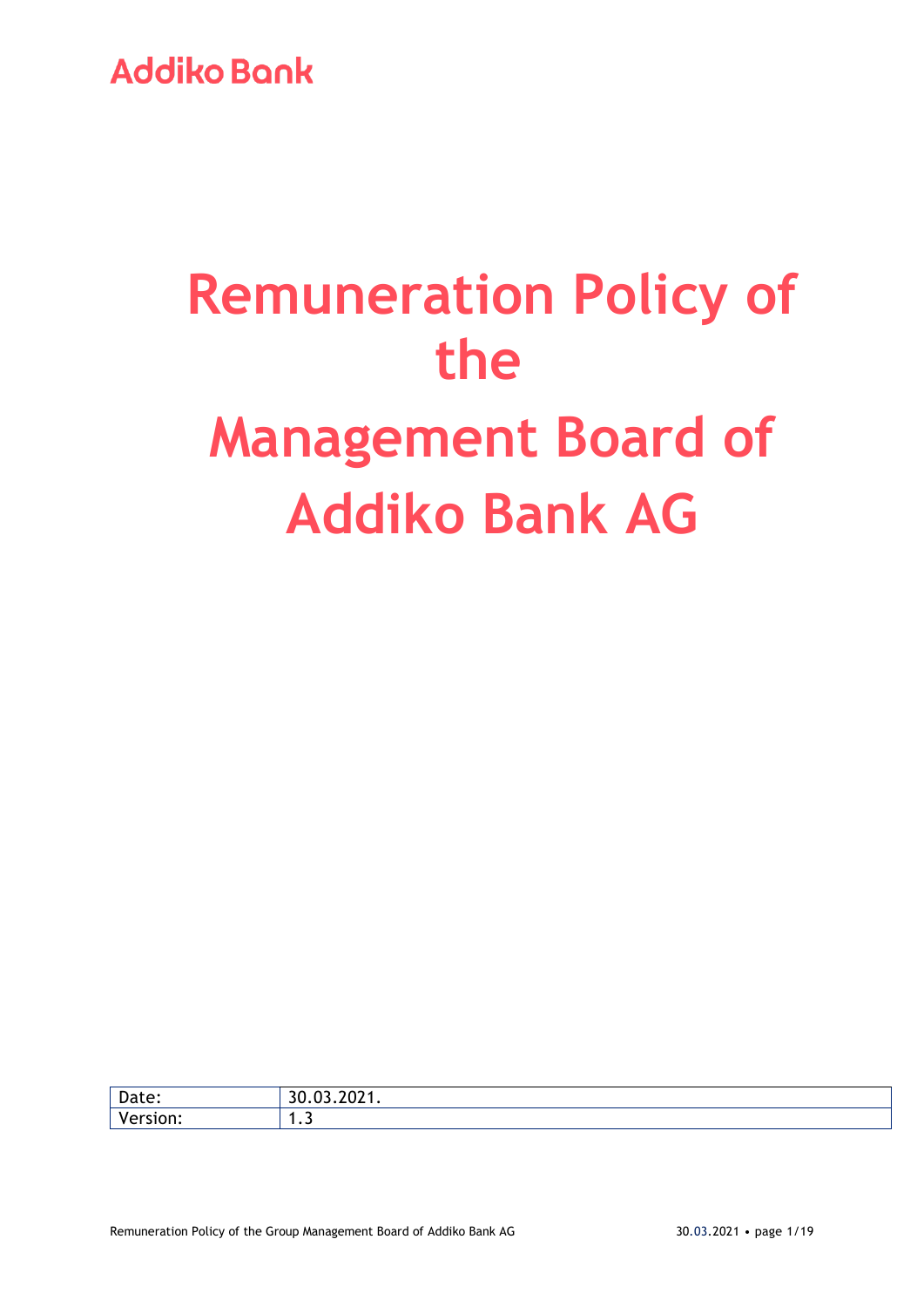# **Remuneration Policy of the Management Board of Addiko Bank AG**

| n-<br>Date:           | $\sim$ $\sim$<br>.<br>◡ |
|-----------------------|-------------------------|
| $\mathbf{v}$<br>ווטי. | .                       |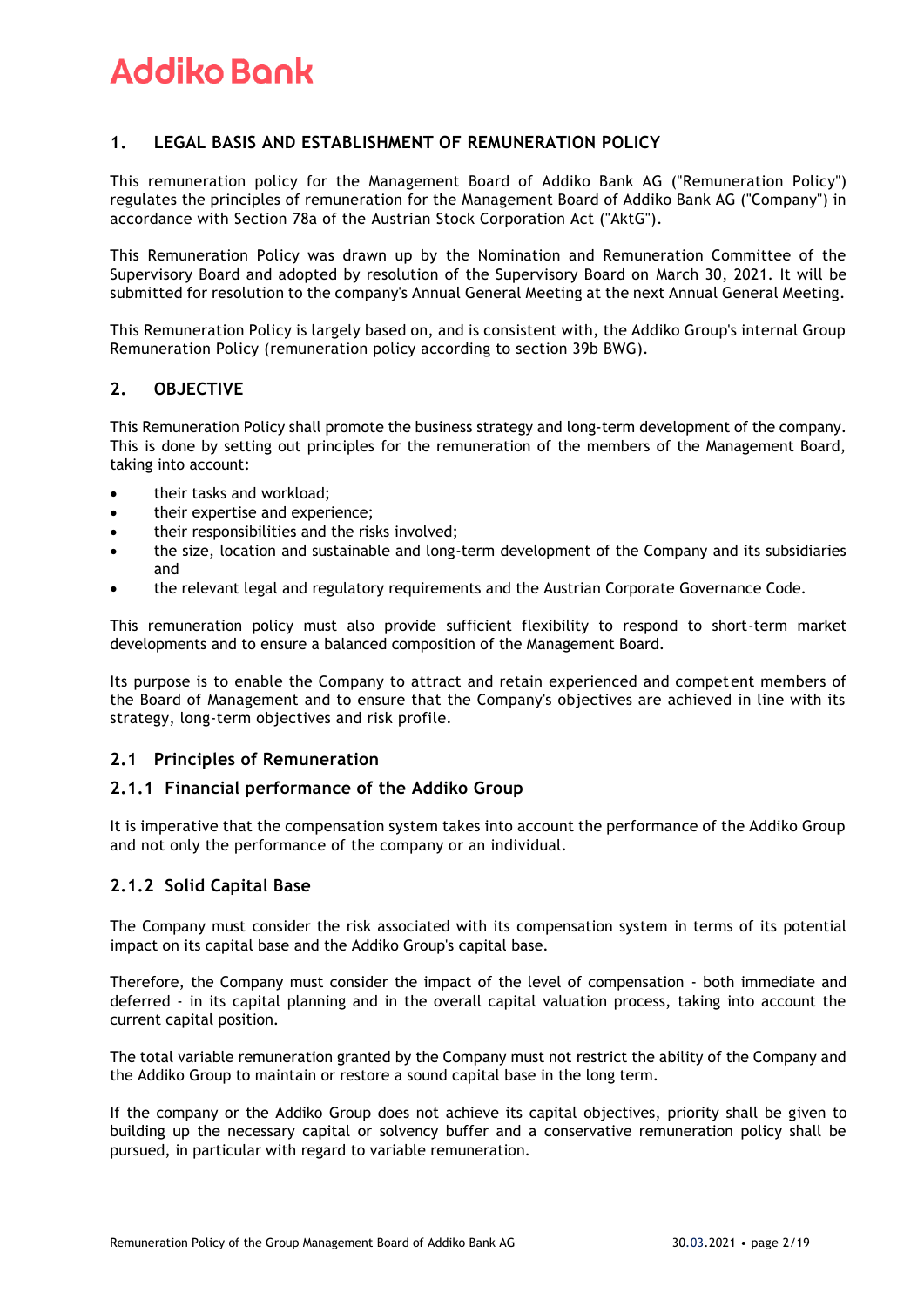### **1. LEGAL BASIS AND ESTABLISHMENT OF REMUNERATION POLICY**

This remuneration policy for the Management Board of Addiko Bank AG ("Remuneration Policy") regulates the principles of remuneration for the Management Board of Addiko Bank AG ("Company") in accordance with Section 78a of the Austrian Stock Corporation Act ("AktG").

This Remuneration Policy was drawn up by the Nomination and Remuneration Committee of the Supervisory Board and adopted by resolution of the Supervisory Board on March 30, 2021. It will be submitted for resolution to the company's Annual General Meeting at the next Annual General Meeting.

This Remuneration Policy is largely based on, and is consistent with, the Addiko Group's internal Group Remuneration Policy (remuneration policy according to section 39b BWG).

### **2. OBJECTIVE**

This Remuneration Policy shall promote the business strategy and long-term development of the company. This is done by setting out principles for the remuneration of the members of the Management Board, taking into account:

- their tasks and workload:
- their expertise and experience;
- their responsibilities and the risks involved;
- the size, location and sustainable and long-term development of the Company and its subsidiaries and
- the relevant legal and regulatory requirements and the Austrian Corporate Governance Code.

This remuneration policy must also provide sufficient flexibility to respond to short-term market developments and to ensure a balanced composition of the Management Board.

Its purpose is to enable the Company to attract and retain experienced and competent members of the Board of Management and to ensure that the Company's objectives are achieved in line with its strategy, long-term objectives and risk profile.

### **2.1 Principles of Remuneration**

### **2.1.1 Financial performance of the Addiko Group**

It is imperative that the compensation system takes into account the performance of the Addiko Group and not only the performance of the company or an individual.

### **2.1.2 Solid Capital Base**

The Company must consider the risk associated with its compensation system in terms of its potential impact on its capital base and the Addiko Group's capital base.

Therefore, the Company must consider the impact of the level of compensation - both immediate and deferred - in its capital planning and in the overall capital valuation process, taking into account the current capital position.

The total variable remuneration granted by the Company must not restrict the ability of the Company and the Addiko Group to maintain or restore a sound capital base in the long term.

If the company or the Addiko Group does not achieve its capital objectives, priority shall be given to building up the necessary capital or solvency buffer and a conservative remuneration policy shall be pursued, in particular with regard to variable remuneration.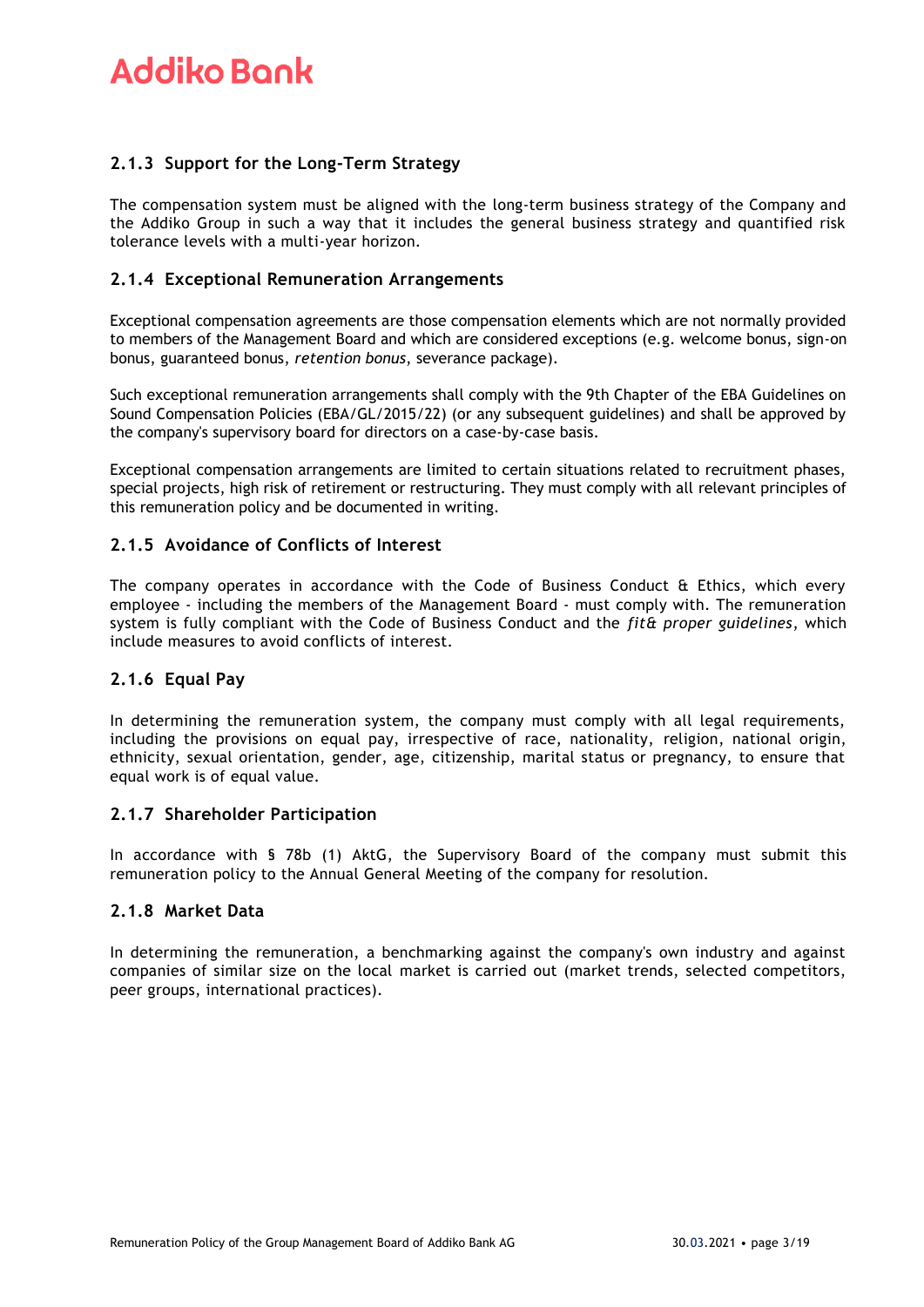### **2.1.3 Support for the Long-Term Strategy**

The compensation system must be aligned with the long-term business strategy of the Company and the Addiko Group in such a way that it includes the general business strategy and quantified risk tolerance levels with a multi-year horizon.

### **2.1.4 Exceptional Remuneration Arrangements**

Exceptional compensation agreements are those compensation elements which are not normally provided to members of the Management Board and which are considered exceptions (e.g. welcome bonus, sign-on bonus, guaranteed bonus, *retention bonus*, severance package).

Such exceptional remuneration arrangements shall comply with the 9th Chapter of the EBA Guidelines on Sound Compensation Policies (EBA/GL/2015/22) (or any subsequent guidelines) and shall be approved by the company's supervisory board for directors on a case-by-case basis.

Exceptional compensation arrangements are limited to certain situations related to recruitment phases, special projects, high risk of retirement or restructuring. They must comply with all relevant principles of this remuneration policy and be documented in writing.

### **2.1.5 Avoidance of Conflicts of Interest**

The company operates in accordance with the Code of Business Conduct & Ethics, which every employee - including the members of the Management Board - must comply with. The remuneration system is fully compliant with the Code of Business Conduct and the *fit& proper guidelines*, which include measures to avoid conflicts of interest.

### **2.1.6 Equal Pay**

In determining the remuneration system, the company must comply with all legal requirements, including the provisions on equal pay, irrespective of race, nationality, religion, national origin, ethnicity, sexual orientation, gender, age, citizenship, marital status or pregnancy, to ensure that equal work is of equal value.

### **2.1.7 Shareholder Participation**

In accordance with § 78b (1) AktG, the Supervisory Board of the company must submit this remuneration policy to the Annual General Meeting of the company for resolution.

### **2.1.8 Market Data**

In determining the remuneration, a benchmarking against the company's own industry and against companies of similar size on the local market is carried out (market trends, selected competitors, peer groups, international practices).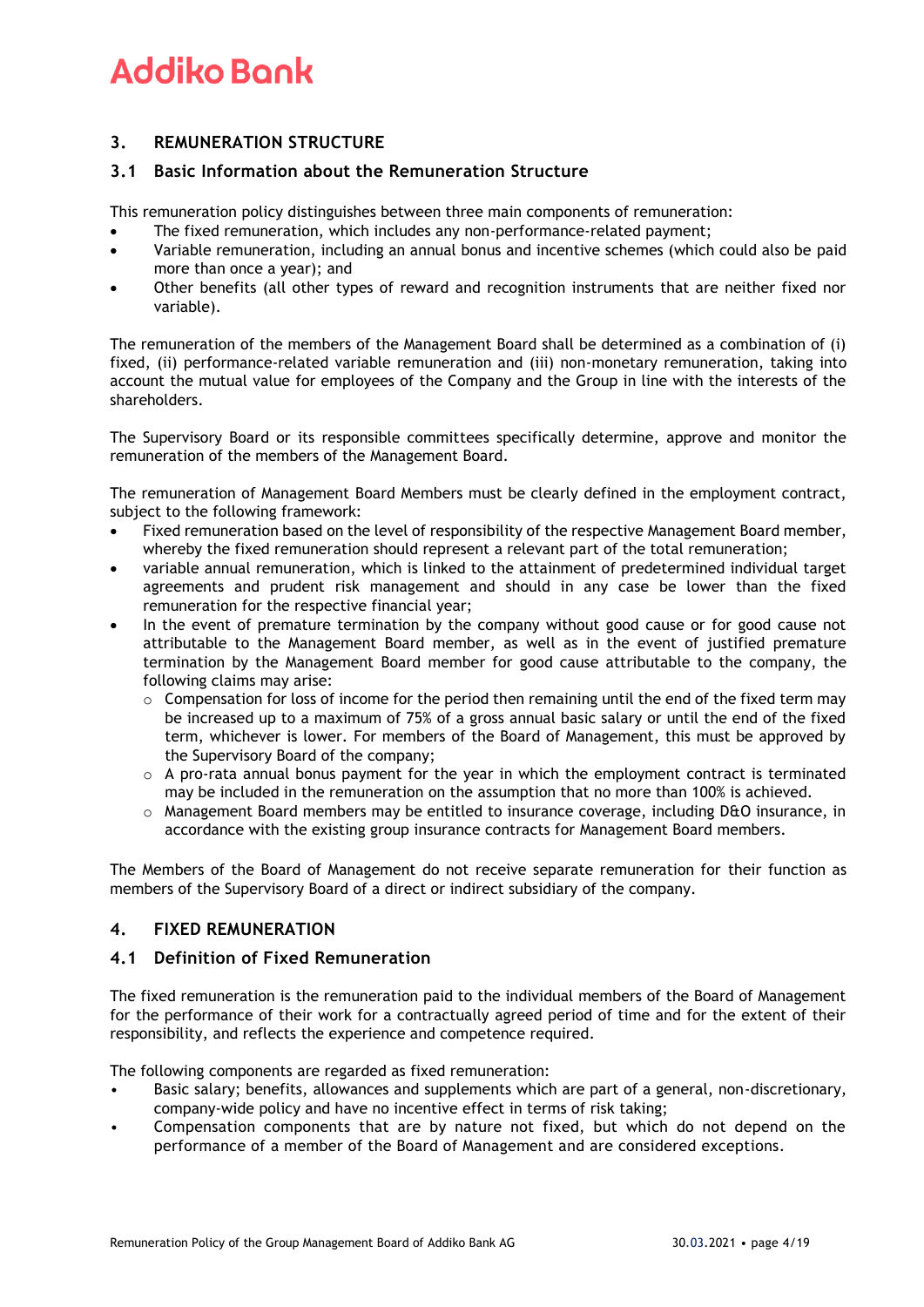# **3. REMUNERATION STRUCTURE**

### **3.1 Basic Information about the Remuneration Structure**

This remuneration policy distinguishes between three main components of remuneration:

- The fixed remuneration, which includes any non-performance-related payment;
- Variable remuneration, including an annual bonus and incentive schemes (which could also be paid more than once a year); and
- Other benefits (all other types of reward and recognition instruments that are neither fixed nor variable).

The remuneration of the members of the Management Board shall be determined as a combination of (i) fixed, (ii) performance-related variable remuneration and (iii) non-monetary remuneration, taking into account the mutual value for employees of the Company and the Group in line with the interests of the shareholders.

The Supervisory Board or its responsible committees specifically determine, approve and monitor the remuneration of the members of the Management Board.

The remuneration of Management Board Members must be clearly defined in the employment contract, subject to the following framework:

- Fixed remuneration based on the level of responsibility of the respective Management Board member, whereby the fixed remuneration should represent a relevant part of the total remuneration;
- variable annual remuneration, which is linked to the attainment of predetermined individual target agreements and prudent risk management and should in any case be lower than the fixed remuneration for the respective financial year;
- In the event of premature termination by the company without good cause or for good cause not attributable to the Management Board member, as well as in the event of justified premature termination by the Management Board member for good cause attributable to the company, the following claims may arise:
	- $\circ$  Compensation for loss of income for the period then remaining until the end of the fixed term may be increased up to a maximum of 75% of a gross annual basic salary or until the end of the fixed term, whichever is lower. For members of the Board of Management, this must be approved by the Supervisory Board of the company;
	- $\circ$  A pro-rata annual bonus payment for the year in which the employment contract is terminated may be included in the remuneration on the assumption that no more than 100% is achieved.
	- $\circ$  Management Board members may be entitled to insurance coverage, including D&O insurance, in accordance with the existing group insurance contracts for Management Board members.

The Members of the Board of Management do not receive separate remuneration for their function as members of the Supervisory Board of a direct or indirect subsidiary of the company.

## **4. FIXED REMUNERATION**

### **4.1 Definition of Fixed Remuneration**

The fixed remuneration is the remuneration paid to the individual members of the Board of Management for the performance of their work for a contractually agreed period of time and for the extent of their responsibility, and reflects the experience and competence required.

The following components are regarded as fixed remuneration:

- Basic salary; benefits, allowances and supplements which are part of a general, non-discretionary, company-wide policy and have no incentive effect in terms of risk taking;
- Compensation components that are by nature not fixed, but which do not depend on the performance of a member of the Board of Management and are considered exceptions.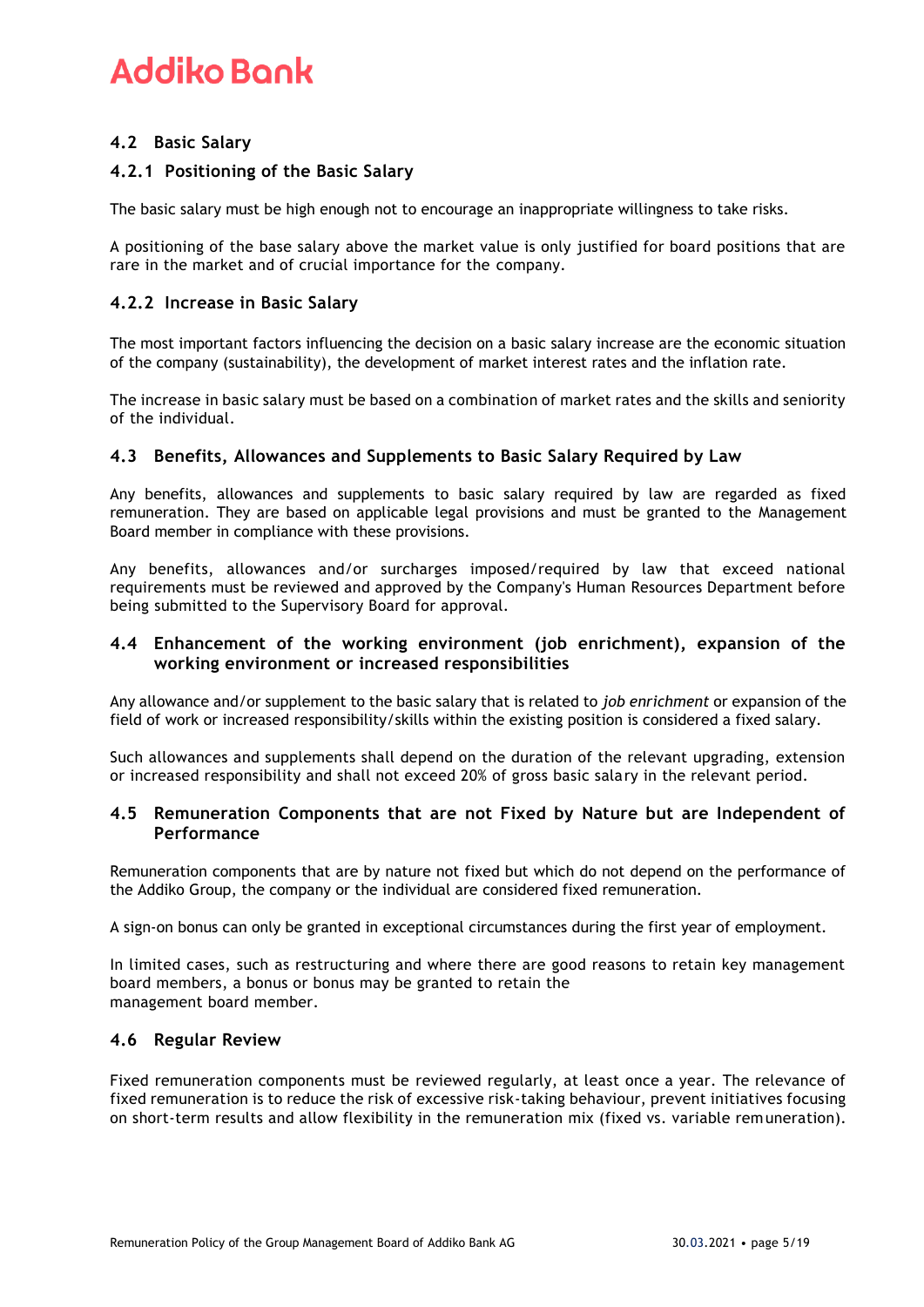# **4.2 Basic Salary**

# **4.2.1 Positioning of the Basic Salary**

The basic salary must be high enough not to encourage an inappropriate willingness to take risks.

A positioning of the base salary above the market value is only justified for board positions that are rare in the market and of crucial importance for the company.

### **4.2.2 Increase in Basic Salary**

The most important factors influencing the decision on a basic salary increase are the economic situation of the company (sustainability), the development of market interest rates and the inflation rate.

The increase in basic salary must be based on a combination of market rates and the skills and seniority of the individual.

### **4.3 Benefits, Allowances and Supplements to Basic Salary Required by Law**

Any benefits, allowances and supplements to basic salary required by law are regarded as fixed remuneration. They are based on applicable legal provisions and must be granted to the Management Board member in compliance with these provisions.

Any benefits, allowances and/or surcharges imposed/required by law that exceed national requirements must be reviewed and approved by the Company's Human Resources Department before being submitted to the Supervisory Board for approval.

### **4.4 Enhancement of the working environment (job enrichment), expansion of the working environment or increased responsibilities**

Any allowance and/or supplement to the basic salary that is related to *job enrichment* or expansion of the field of work or increased responsibility/skills within the existing position is considered a fixed salary.

Such allowances and supplements shall depend on the duration of the relevant upgrading, extension or increased responsibility and shall not exceed 20% of gross basic salary in the relevant period.

### **4.5 Remuneration Components that are not Fixed by Nature but are Independent of Performance**

Remuneration components that are by nature not fixed but which do not depend on the performance of the Addiko Group, the company or the individual are considered fixed remuneration.

A sign-on bonus can only be granted in exceptional circumstances during the first year of employment.

In limited cases, such as restructuring and where there are good reasons to retain key management board members, a bonus or bonus may be granted to retain the management board member.

### **4.6 Regular Review**

Fixed remuneration components must be reviewed regularly, at least once a year. The relevance of fixed remuneration is to reduce the risk of excessive risk-taking behaviour, prevent initiatives focusing on short-term results and allow flexibility in the remuneration mix (fixed vs. variable remuneration).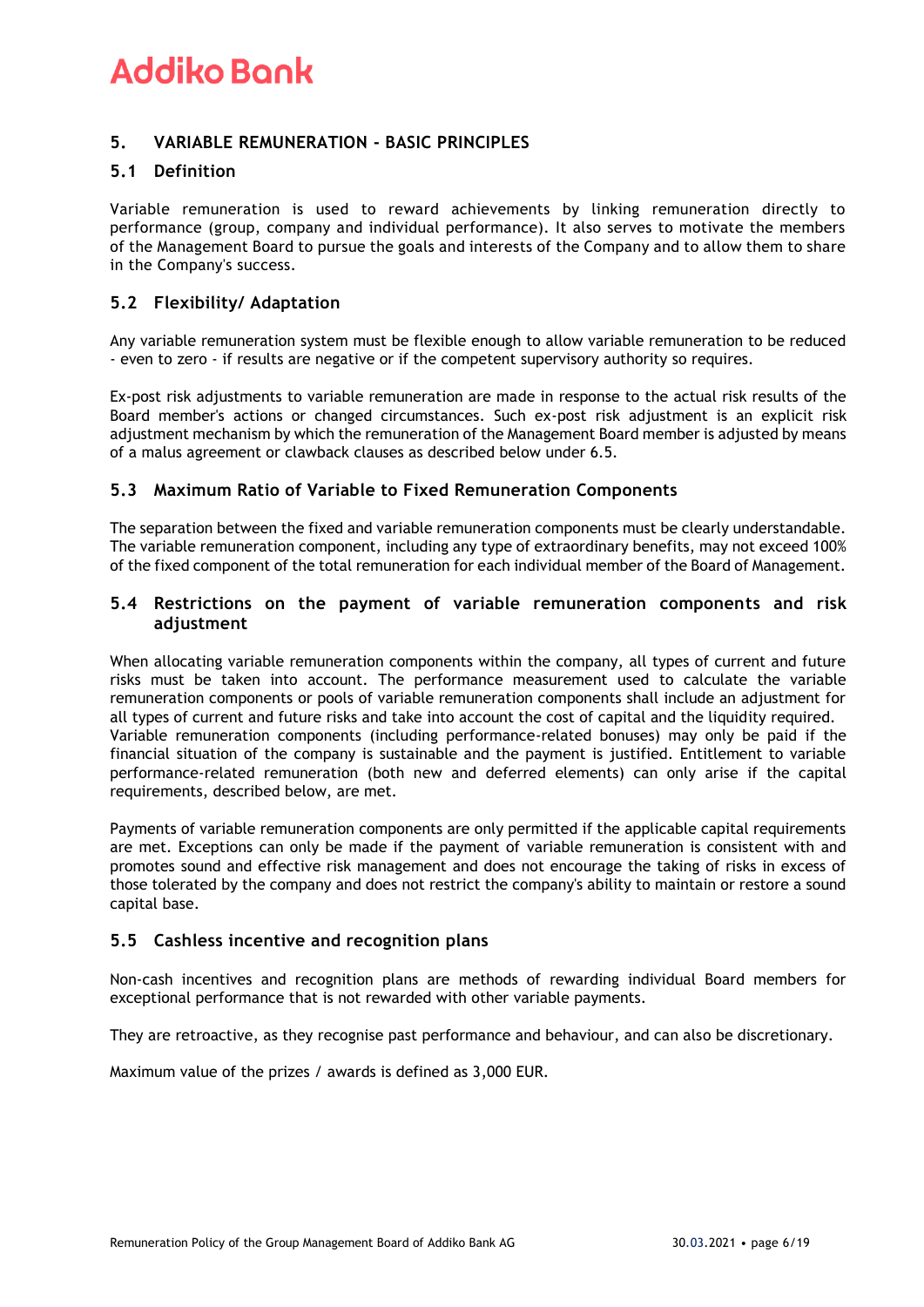# **5. VARIABLE REMUNERATION - BASIC PRINCIPLES**

### **5.1 Definition**

Variable remuneration is used to reward achievements by linking remuneration directly to performance (group, company and individual performance). It also serves to motivate the members of the Management Board to pursue the goals and interests of the Company and to allow them to share in the Company's success.

### **5.2 Flexibility/ Adaptation**

Any variable remuneration system must be flexible enough to allow variable remuneration to be reduced - even to zero - if results are negative or if the competent supervisory authority so requires.

Ex-post risk adjustments to variable remuneration are made in response to the actual risk results of the Board member's actions or changed circumstances. Such ex-post risk adjustment is an explicit risk adjustment mechanism by which the remuneration of the Management Board member is adjusted by means of a malus agreement or clawback clauses as described below under 6.5.

### **5.3 Maximum Ratio of Variable to Fixed Remuneration Components**

The separation between the fixed and variable remuneration components must be clearly understandable. The variable remuneration component, including any type of extraordinary benefits, may not exceed 100% of the fixed component of the total remuneration for each individual member of the Board of Management.

### **5.4 Restrictions on the payment of variable remuneration components and risk adjustment**

When allocating variable remuneration components within the company, all types of current and future risks must be taken into account. The performance measurement used to calculate the variable remuneration components or pools of variable remuneration components shall include an adjustment for all types of current and future risks and take into account the cost of capital and the liquidity required. Variable remuneration components (including performance-related bonuses) may only be paid if the financial situation of the company is sustainable and the payment is justified. Entitlement to variable performance-related remuneration (both new and deferred elements) can only arise if the capital requirements, described below, are met.

Payments of variable remuneration components are only permitted if the applicable capital requirements are met. Exceptions can only be made if the payment of variable remuneration is consistent with and promotes sound and effective risk management and does not encourage the taking of risks in excess of those tolerated by the company and does not restrict the company's ability to maintain or restore a sound capital base.

### **5.5 Cashless incentive and recognition plans**

Non-cash incentives and recognition plans are methods of rewarding individual Board members for exceptional performance that is not rewarded with other variable payments.

They are retroactive, as they recognise past performance and behaviour, and can also be discretionary.

Maximum value of the prizes / awards is defined as 3,000 EUR.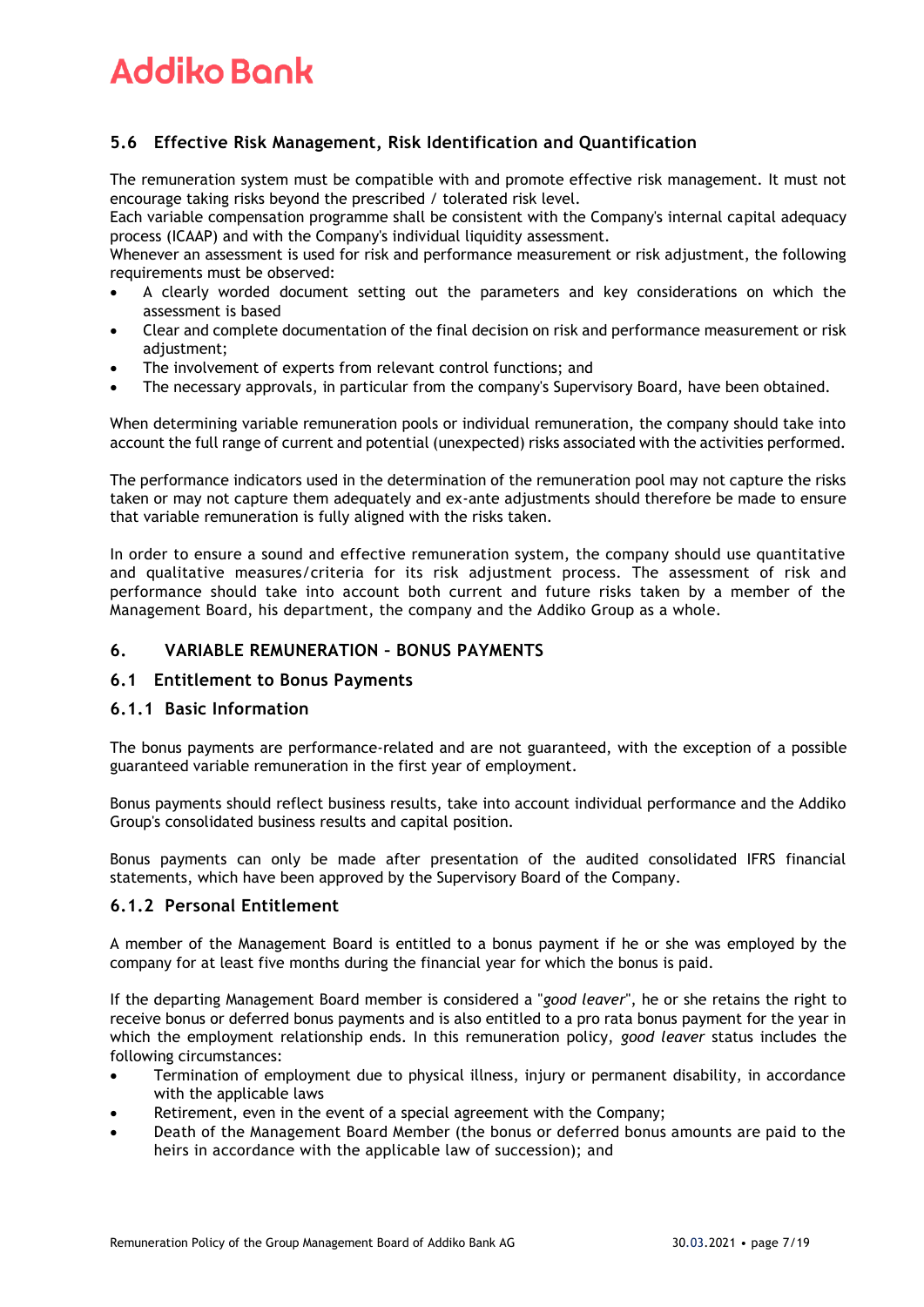# **5.6 Effective Risk Management, Risk Identification and Quantification**

The remuneration system must be compatible with and promote effective risk management. It must not encourage taking risks beyond the prescribed / tolerated risk level.

Each variable compensation programme shall be consistent with the Company's internal capital adequacy process (ICAAP) and with the Company's individual liquidity assessment.

Whenever an assessment is used for risk and performance measurement or risk adjustment, the following requirements must be observed:

- A clearly worded document setting out the parameters and key considerations on which the assessment is based
- Clear and complete documentation of the final decision on risk and performance measurement or risk adjustment:
- The involvement of experts from relevant control functions; and
- The necessary approvals, in particular from the company's Supervisory Board, have been obtained.

When determining variable remuneration pools or individual remuneration, the company should take into account the full range of current and potential (unexpected) risks associated with the activities performed.

The performance indicators used in the determination of the remuneration pool may not capture the risks taken or may not capture them adequately and ex-ante adjustments should therefore be made to ensure that variable remuneration is fully aligned with the risks taken.

In order to ensure a sound and effective remuneration system, the company should use quantitative and qualitative measures/criteria for its risk adjustment process. The assessment of risk and performance should take into account both current and future risks taken by a member of the Management Board, his department, the company and the Addiko Group as a whole.

### **6. VARIABLE REMUNERATION – BONUS PAYMENTS**

### **6.1 Entitlement to Bonus Payments**

### **6.1.1 Basic Information**

The bonus payments are performance-related and are not guaranteed, with the exception of a possible guaranteed variable remuneration in the first year of employment.

Bonus payments should reflect business results, take into account individual performance and the Addiko Group's consolidated business results and capital position.

Bonus payments can only be made after presentation of the audited consolidated IFRS financial statements, which have been approved by the Supervisory Board of the Company.

### **6.1.2 Personal Entitlement**

A member of the Management Board is entitled to a bonus payment if he or she was employed by the company for at least five months during the financial year for which the bonus is paid.

If the departing Management Board member is considered a "*good leaver*", he or she retains the right to receive bonus or deferred bonus payments and is also entitled to a pro rata bonus payment for the year in which the employment relationship ends. In this remuneration policy, *good leaver* status includes the following circumstances:

- Termination of employment due to physical illness, injury or permanent disability, in accordance with the applicable laws
- Retirement, even in the event of a special agreement with the Company;
- Death of the Management Board Member (the bonus or deferred bonus amounts are paid to the heirs in accordance with the applicable law of succession); and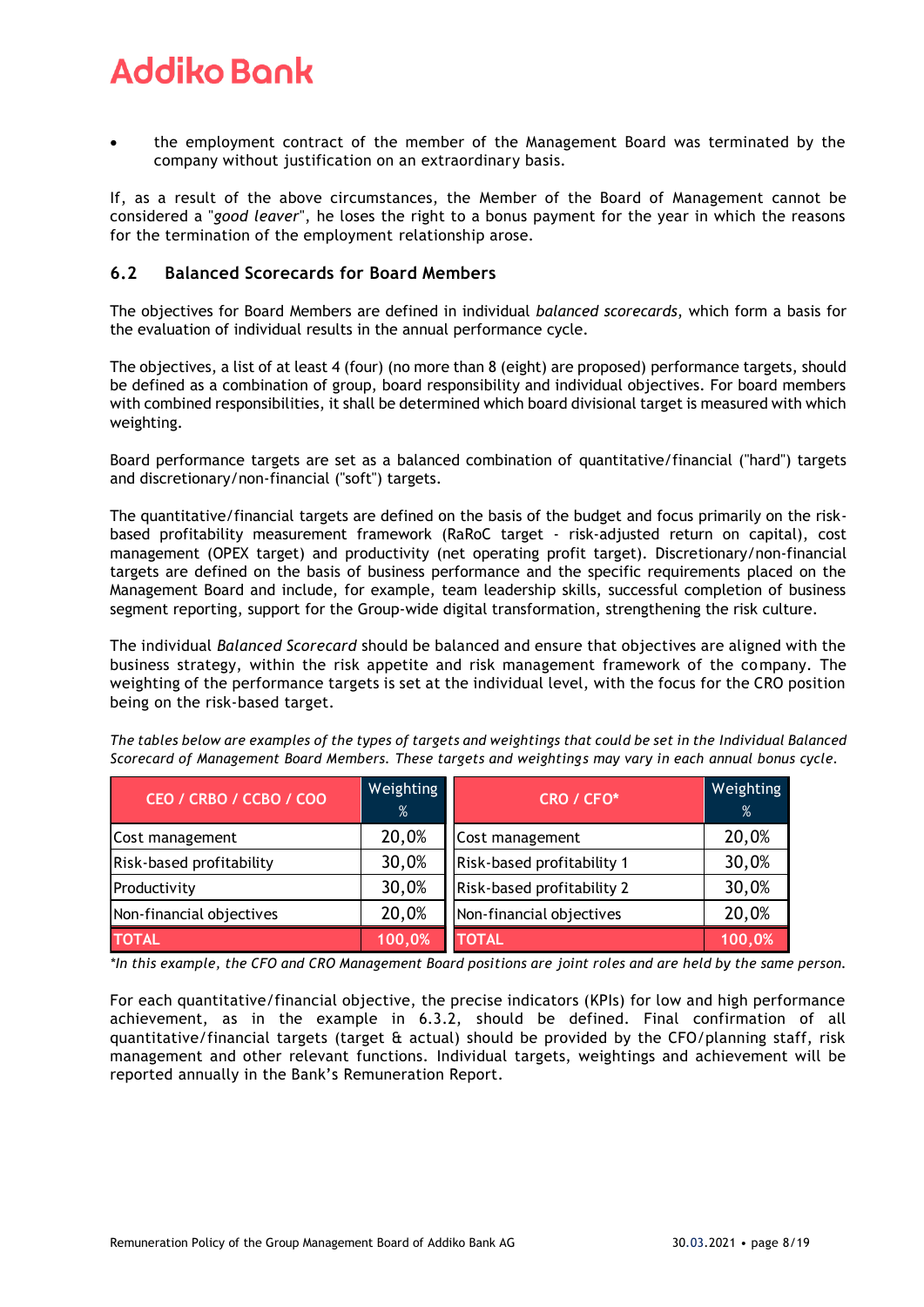• the employment contract of the member of the Management Board was terminated by the company without justification on an extraordinary basis.

If, as a result of the above circumstances, the Member of the Board of Management cannot be considered a "*good leaver*", he loses the right to a bonus payment for the year in which the reasons for the termination of the employment relationship arose.

### **6.2 Balanced Scorecards for Board Members**

The objectives for Board Members are defined in individual *balanced scorecards*, which form a basis for the evaluation of individual results in the annual performance cycle.

The objectives, a list of at least 4 (four) (no more than 8 (eight) are proposed) performance targets, should be defined as a combination of group, board responsibility and individual objectives. For board members with combined responsibilities, it shall be determined which board divisional target is measured with which weighting.

Board performance targets are set as a balanced combination of quantitative/financial ("hard") targets and discretionary/non-financial ("soft") targets.

The quantitative/financial targets are defined on the basis of the budget and focus primarily on the riskbased profitability measurement framework (RaRoC target - risk-adjusted return on capital), cost management (OPEX target) and productivity (net operating profit target). Discretionary/non-financial targets are defined on the basis of business performance and the specific requirements placed on the Management Board and include, for example, team leadership skills, successful completion of business segment reporting, support for the Group-wide digital transformation, strengthening the risk culture.

The individual *Balanced Scorecard* should be balanced and ensure that objectives are aligned with the business strategy, within the risk appetite and risk management framework of the company. The weighting of the performance targets is set at the individual level, with the focus for the CRO position being on the risk-based target.

*The tables below are examples of the types of targets and weightings that could be set in the Individual Balanced Scorecard of Management Board Members. These targets and weightings may vary in each annual bonus cycle.* 

| CEO / CRBO / CCBO / COO  | Weighting<br>% | CRO / CFO*                 | Weighting<br>% |
|--------------------------|----------------|----------------------------|----------------|
| Cost management          | 20,0%          | Cost management            | 20,0%          |
| Risk-based profitability | 30,0%          | Risk-based profitability 1 | 30,0%          |
| Productivity             | 30,0%          | Risk-based profitability 2 | 30,0%          |
| Non-financial objectives | 20,0%          | Non-financial objectives   | 20,0%          |
| <b>TOTAL</b>             | 100,0%         | <b>TOTAL</b>               | 100,0%         |

*\*In this example, the CFO and CRO Management Board positions are joint roles and are held by the same person.* 

For each quantitative/financial objective, the precise indicators (KPIs) for low and high performance achievement, as in the example in 6.3.2, should be defined. Final confirmation of all quantitative/financial targets (target & actual) should be provided by the CFO/planning staff, risk management and other relevant functions. Individual targets, weightings and achievement will be reported annually in the Bank's Remuneration Report.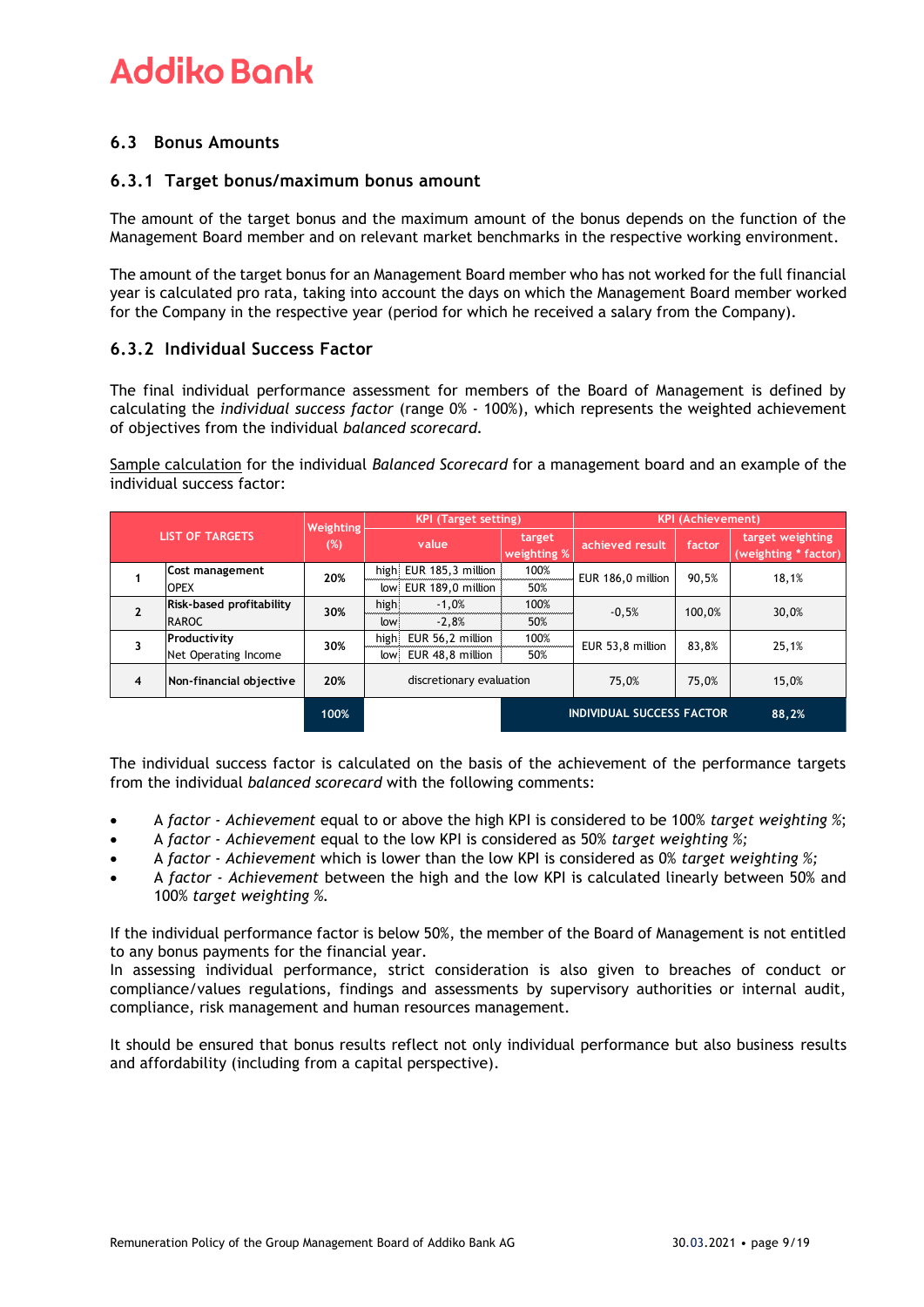# **6.3 Bonus Amounts**

### **6.3.1 Target bonus/maximum bonus amount**

The amount of the target bonus and the maximum amount of the bonus depends on the function of the Management Board member and on relevant market benchmarks in the respective working environment.

The amount of the target bonus for an Management Board member who has not worked for the full financial year is calculated pro rata, taking into account the days on which the Management Board member worked for the Company in the respective year (period for which he received a salary from the Company).

### **6.3.2 Individual Success Factor**

The final individual performance assessment for members of the Board of Management is defined by calculating the *individual success factor* (range 0% - 100%), which represents the weighted achievement of objectives from the individual *balanced scorecard.*

Sample calculation for the individual *Balanced Scorecard* for a management board and an example of the individual success factor:

| <b>LIST OF TARGETS</b> |                          | Weighting<br>(%) | <b>KPI (Target setting)</b> |                        |                       | <b>KPI (Achievement)</b>         |        |                                          |
|------------------------|--------------------------|------------------|-----------------------------|------------------------|-----------------------|----------------------------------|--------|------------------------------------------|
|                        |                          |                  |                             | value                  | target<br>weighting % | achieved result                  | factor | target weighting<br>(weighting * factor) |
|                        | Cost management          | 20%              |                             | high EUR 185,3 million | 100%                  | EUR 186,0 million                | 90,5%  | 18,1%                                    |
|                        | <b>OPEX</b>              |                  | low                         | EUR 189,0 million      | 50%                   |                                  |        |                                          |
| $\mathbf{2}$           | Risk-based profitability | 30%              | high                        | $-1,0%$                | 100%                  | $-0.5%$                          | 100.0% | 30,0%                                    |
|                        | <b>RAROC</b>             |                  | low                         | $-2.8%$                | 50%                   |                                  |        |                                          |
|                        | Productivity             | 30%              | high                        | EUR 56,2 million       | 100%                  | EUR 53,8 million                 | 83,8%  | 25,1%                                    |
|                        | Net Operating Income     |                  | low                         | EUR 48,8 million       | 50%                   |                                  |        |                                          |
| 4                      | Non-financial objective  | 20%              | discretionary evaluation    |                        |                       | 75,0%                            | 75,0%  | 15,0%                                    |
|                        |                          | 100%             |                             |                        |                       | <b>INDIVIDUAL SUCCESS FACTOR</b> |        | 88,2%                                    |

The individual success factor is calculated on the basis of the achievement of the performance targets from the individual *balanced scorecard* with the following comments:

- A *factor - Achievement* equal to or above the high KPI is considered to be 100% *target weighting %*;
- A *factor - Achievement* equal to the low KPI is considered as 50% *target weighting %;*
- A *factor - Achievement* which is lower than the low KPI is considered as 0% *target weighting %;*
- A *factor - Achievement* between the high and the low KPI is calculated linearly between 50% and 100% *target weighting %.*

If the individual performance factor is below 50%, the member of the Board of Management is not entitled to any bonus payments for the financial year.

In assessing individual performance, strict consideration is also given to breaches of conduct or compliance/values regulations, findings and assessments by supervisory authorities or internal audit, compliance, risk management and human resources management.

It should be ensured that bonus results reflect not only individual performance but also business results and affordability (including from a capital perspective).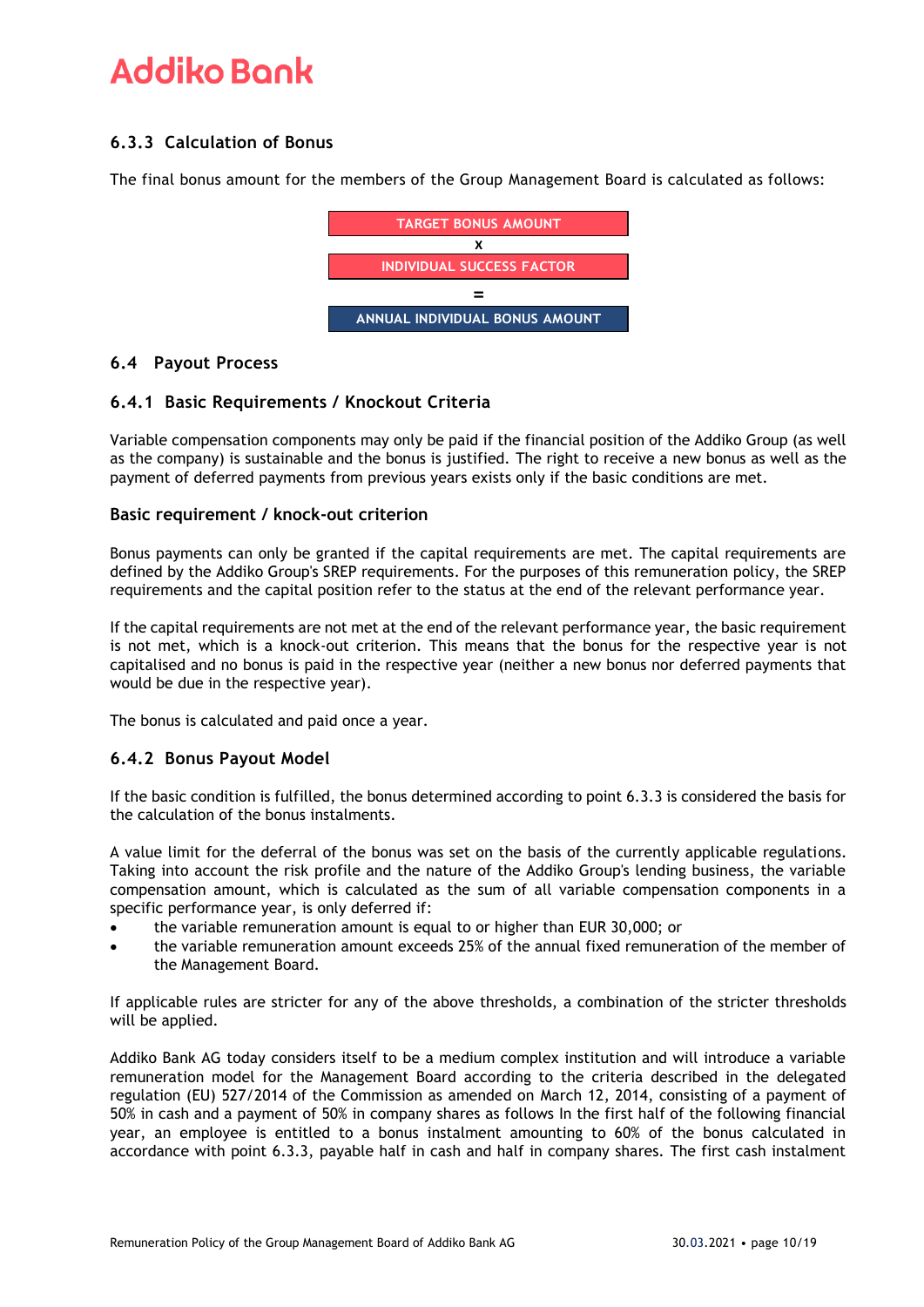# **6.3.3 Calculation of Bonus**

The final bonus amount for the members of the Group Management Board is calculated as follows:



### **6.4 Payout Process**

### **6.4.1 Basic Requirements / Knockout Criteria**

Variable compensation components may only be paid if the financial position of the Addiko Group (as well as the company) is sustainable and the bonus is justified. The right to receive a new bonus as well as the payment of deferred payments from previous years exists only if the basic conditions are met.

### **Basic requirement / knock-out criterion**

Bonus payments can only be granted if the capital requirements are met. The capital requirements are defined by the Addiko Group's SREP requirements. For the purposes of this remuneration policy, the SREP requirements and the capital position refer to the status at the end of the relevant performance year.

If the capital requirements are not met at the end of the relevant performance year, the basic requirement is not met, which is a knock-out criterion. This means that the bonus for the respective year is not capitalised and no bonus is paid in the respective year (neither a new bonus nor deferred payments that would be due in the respective year).

The bonus is calculated and paid once a year.

### **6.4.2 Bonus Payout Model**

If the basic condition is fulfilled, the bonus determined according to point 6.3.3 is considered the basis for the calculation of the bonus instalments.

A value limit for the deferral of the bonus was set on the basis of the currently applicable regulations. Taking into account the risk profile and the nature of the Addiko Group's lending business, the variable compensation amount, which is calculated as the sum of all variable compensation components in a specific performance year, is only deferred if:

- the variable remuneration amount is equal to or higher than EUR 30,000; or
- the variable remuneration amount exceeds 25% of the annual fixed remuneration of the member of the Management Board.

If applicable rules are stricter for any of the above thresholds, a combination of the stricter thresholds will be applied.

Addiko Bank AG today considers itself to be a medium complex institution and will introduce a variable remuneration model for the Management Board according to the criteria described in the delegated regulation (EU) 527/2014 of the Commission as amended on March 12, 2014, consisting of a payment of 50% in cash and a payment of 50% in company shares as follows In the first half of the following financial year, an employee is entitled to a bonus instalment amounting to 60% of the bonus calculated in accordance with point 6.3.3, payable half in cash and half in company shares. The first cash instalment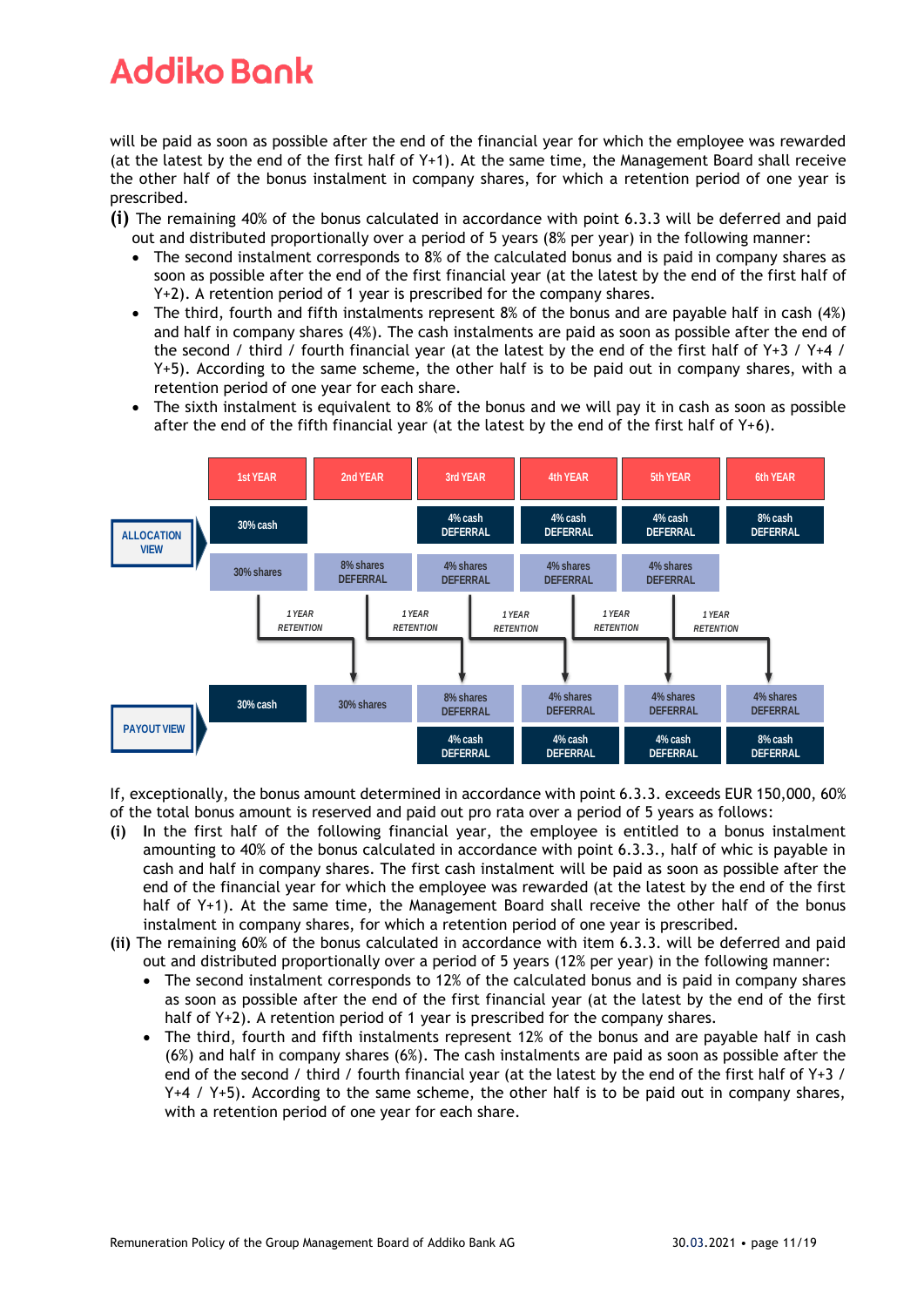will be paid as soon as possible after the end of the financial year for which the employee was rewarded (at the latest by the end of the first half of Y+1). At the same time, the Management Board shall receive the other half of the bonus instalment in company shares, for which a retention period of one year is prescribed.

**(i)** The remaining 40% of the bonus calculated in accordance with point 6.3.3 will be deferred and paid out and distributed proportionally over a period of 5 years (8% per year) in the following manner:

- The second instalment corresponds to 8% of the calculated bonus and is paid in company shares as soon as possible after the end of the first financial year (at the latest by the end of the first half of Y+2). A retention period of 1 year is prescribed for the company shares.
- The third, fourth and fifth instalments represent 8% of the bonus and are payable half in cash (4%) and half in company shares (4%). The cash instalments are paid as soon as possible after the end of the second / third / fourth financial year (at the latest by the end of the first half of Y+3 / Y+4 / Y+5). According to the same scheme, the other half is to be paid out in company shares, with a retention period of one year for each share.
- The sixth instalment is equivalent to 8% of the bonus and we will pay it in cash as soon as possible after the end of the fifth financial year (at the latest by the end of the first half of  $Y+6$ ).



If, exceptionally, the bonus amount determined in accordance with point 6.3.3. exceeds EUR 150,000, 60% of the total bonus amount is reserved and paid out pro rata over a period of 5 years as follows:

- **(i) I**n the first half of the following financial year, the employee is entitled to a bonus instalment amounting to 40% of the bonus calculated in accordance with point 6.3.3., half of whic is payable in cash and half in company shares. The first cash instalment will be paid as soon as possible after the end of the financial year for which the employee was rewarded (at the latest by the end of the first half of Y+1). At the same time, the Management Board shall receive the other half of the bonus instalment in company shares, for which a retention period of one year is prescribed.
- **(ii)** The remaining 60% of the bonus calculated in accordance with item 6.3.3. will be deferred and paid out and distributed proportionally over a period of 5 years (12% per year) in the following manner:
	- The second instalment corresponds to 12% of the calculated bonus and is paid in company shares as soon as possible after the end of the first financial year (at the latest by the end of the first half of Y+2). A retention period of 1 year is prescribed for the company shares.
	- The third, fourth and fifth instalments represent 12% of the bonus and are payable half in cash (6%) and half in company shares (6%). The cash instalments are paid as soon as possible after the end of the second / third / fourth financial year (at the latest by the end of the first half of Y+3 / Y+4 / Y+5). According to the same scheme, the other half is to be paid out in company shares, with a retention period of one year for each share.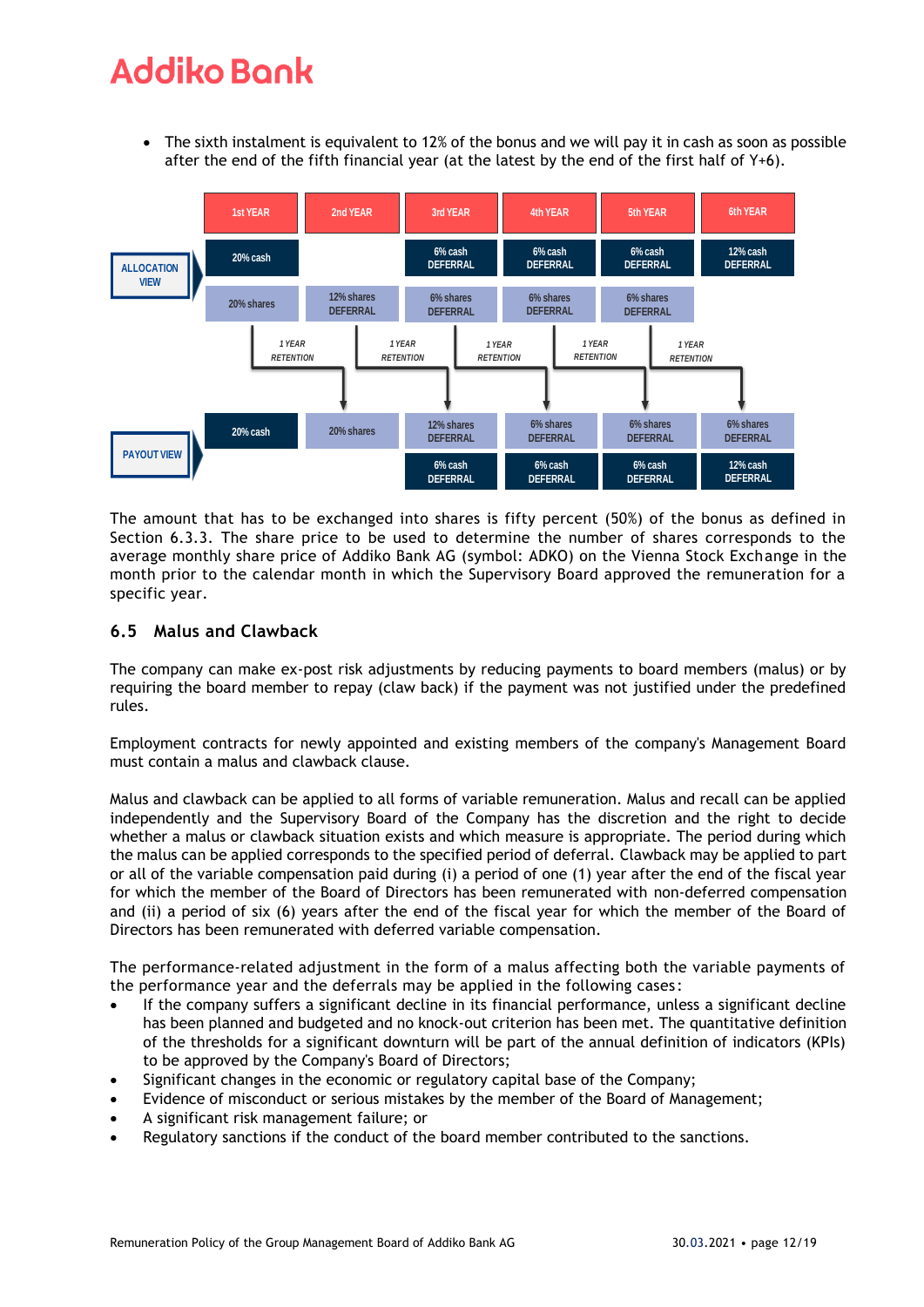• The sixth instalment is equivalent to 12% of the bonus and we will pay it in cash as soon as possible after the end of the fifth financial year (at the latest by the end of the first half of Y+6).



The amount that has to be exchanged into shares is fifty percent (50%) of the bonus as defined in Section 6.3.3. The share price to be used to determine the number of shares corresponds to the average monthly share price of Addiko Bank AG (symbol: ADKO) on the Vienna Stock Exchange in the month prior to the calendar month in which the Supervisory Board approved the remuneration for a specific year.

### **6.5 Malus and Clawback**

The company can make ex-post risk adjustments by reducing payments to board members (malus) or by requiring the board member to repay (claw back) if the payment was not justified under the predefined rules.

Employment contracts for newly appointed and existing members of the company's Management Board must contain a malus and clawback clause.

Malus and clawback can be applied to all forms of variable remuneration. Malus and recall can be applied independently and the Supervisory Board of the Company has the discretion and the right to decide whether a malus or clawback situation exists and which measure is appropriate. The period during which the malus can be applied corresponds to the specified period of deferral. Clawback may be applied to part or all of the variable compensation paid during (i) a period of one (1) year after the end of the fiscal year for which the member of the Board of Directors has been remunerated with non-deferred compensation and (ii) a period of six (6) years after the end of the fiscal year for which the member of the Board of Directors has been remunerated with deferred variable compensation.

The performance-related adjustment in the form of a malus affecting both the variable payments of the performance year and the deferrals may be applied in the following cases :

- If the company suffers a significant decline in its financial performance, unless a significant decline has been planned and budgeted and no knock-out criterion has been met. The quantitative definition of the thresholds for a significant downturn will be part of the annual definition of indicators (KPIs) to be approved by the Company's Board of Directors;
- Significant changes in the economic or regulatory capital base of the Company;
- Evidence of misconduct or serious mistakes by the member of the Board of Management;
- A significant risk management failure; or
- Regulatory sanctions if the conduct of the board member contributed to the sanctions.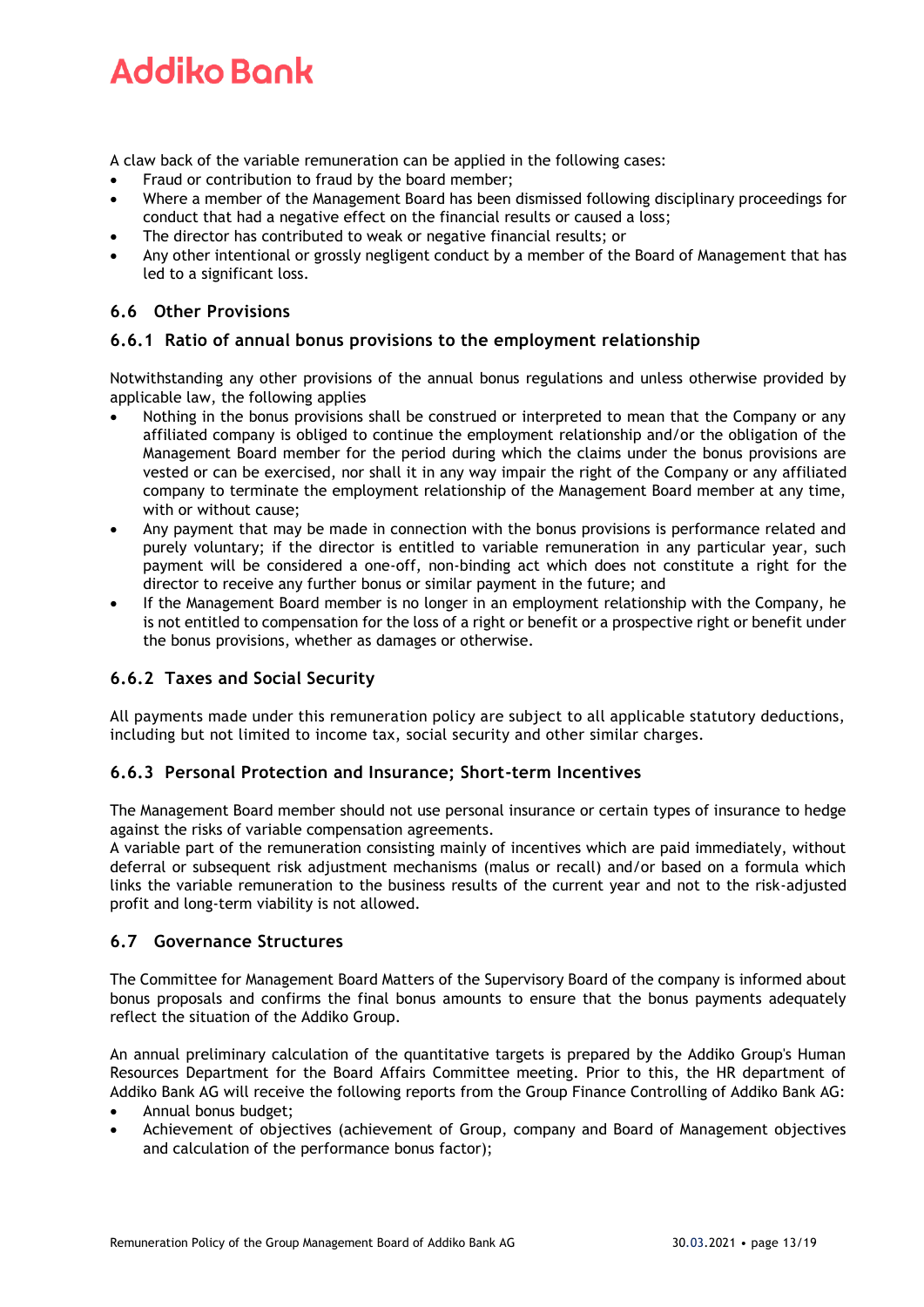A claw back of the variable remuneration can be applied in the following cases:

- Fraud or contribution to fraud by the board member;
- Where a member of the Management Board has been dismissed following disciplinary proceedings for conduct that had a negative effect on the financial results or caused a loss;
- The director has contributed to weak or negative financial results; or
- Any other intentional or grossly negligent conduct by a member of the Board of Management that has led to a significant loss.

# **6.6 Other Provisions**

### **6.6.1 Ratio of annual bonus provisions to the employment relationship**

Notwithstanding any other provisions of the annual bonus regulations and unless otherwise provided by applicable law, the following applies

- Nothing in the bonus provisions shall be construed or interpreted to mean that the Company or any affiliated company is obliged to continue the employment relationship and/or the obligation of the Management Board member for the period during which the claims under the bonus provisions are vested or can be exercised, nor shall it in any way impair the right of the Company or any affiliated company to terminate the employment relationship of the Management Board member at any time, with or without cause;
- Any payment that may be made in connection with the bonus provisions is performance related and purely voluntary; if the director is entitled to variable remuneration in any particular year, such payment will be considered a one-off, non-binding act which does not constitute a right for the director to receive any further bonus or similar payment in the future; and
- If the Management Board member is no longer in an employment relationship with the Company, he is not entitled to compensation for the loss of a right or benefit or a prospective right or benefit under the bonus provisions, whether as damages or otherwise.

### **6.6.2 Taxes and Social Security**

All payments made under this remuneration policy are subject to all applicable statutory deductions, including but not limited to income tax, social security and other similar charges.

### **6.6.3 Personal Protection and Insurance; Short-term Incentives**

The Management Board member should not use personal insurance or certain types of insurance to hedge against the risks of variable compensation agreements.

A variable part of the remuneration consisting mainly of incentives which are paid immediately, without deferral or subsequent risk adjustment mechanisms (malus or recall) and/or based on a formula which links the variable remuneration to the business results of the current year and not to the risk-adjusted profit and long-term viability is not allowed.

### **6.7 Governance Structures**

The Committee for Management Board Matters of the Supervisory Board of the company is informed about bonus proposals and confirms the final bonus amounts to ensure that the bonus payments adequately reflect the situation of the Addiko Group.

An annual preliminary calculation of the quantitative targets is prepared by the Addiko Group's Human Resources Department for the Board Affairs Committee meeting. Prior to this, the HR department of Addiko Bank AG will receive the following reports from the Group Finance Controlling of Addiko Bank AG:

- Annual bonus budget;
- Achievement of objectives (achievement of Group, company and Board of Management objectives and calculation of the performance bonus factor);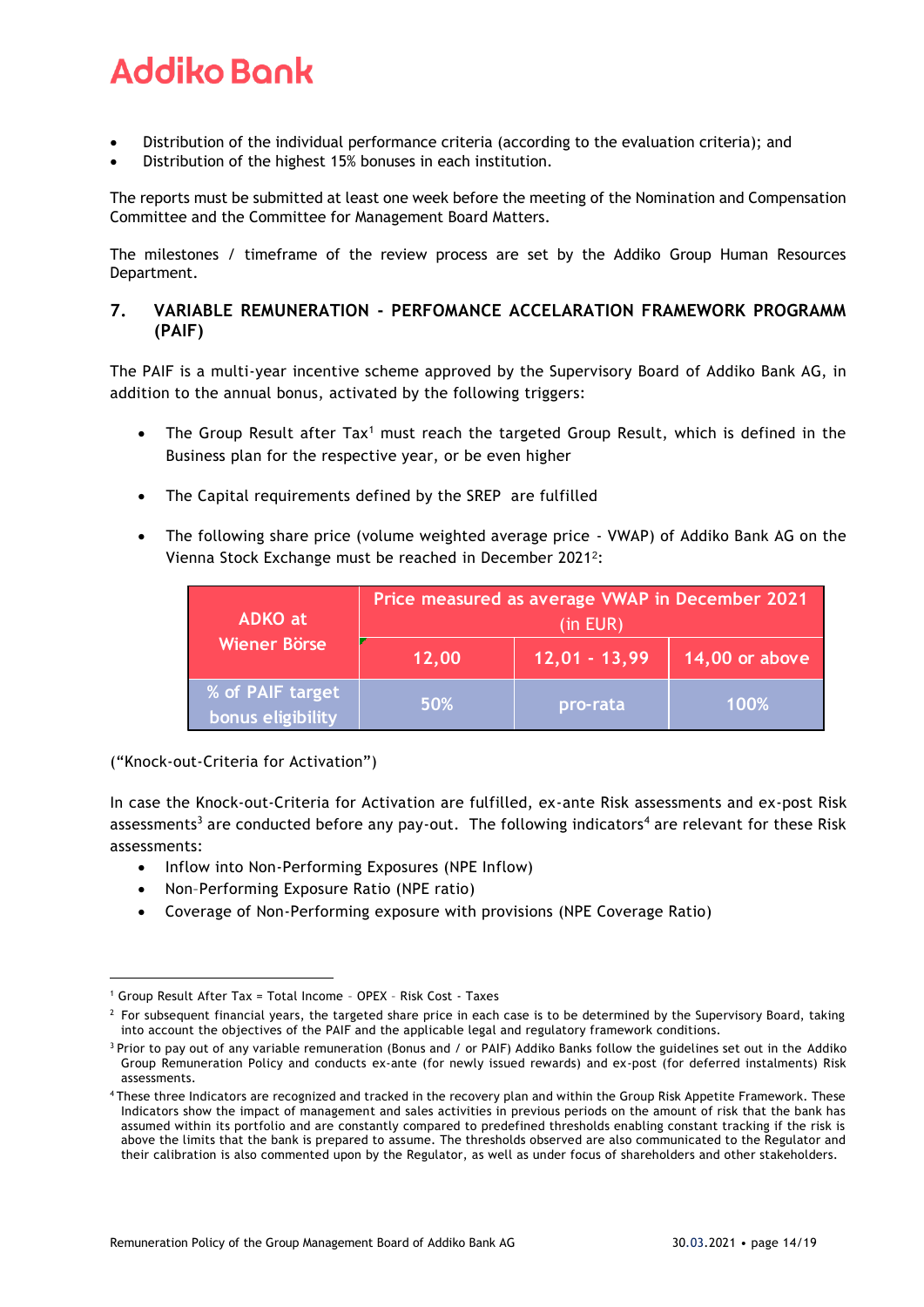- Distribution of the individual performance criteria (according to the evaluation criteria); and
- Distribution of the highest 15% bonuses in each institution.

The reports must be submitted at least one week before the meeting of the Nomination and Compensation Committee and the Committee for Management Board Matters.

The milestones / timeframe of the review process are set by the Addiko Group Human Resources Department.

# **7. VARIABLE REMUNERATION - PERFOMANCE ACCELARATION FRAMEWORK PROGRAMM (PAIF)**

The PAIF is a multi-year incentive scheme approved by the Supervisory Board of Addiko Bank AG, in addition to the annual bonus, activated by the following triggers:

- The Group Result after Tax<sup>1</sup> must reach the targeted Group Result, which is defined in the Business plan for the respective year, or be even higher
- The Capital requirements defined by the SREP are fulfilled
- The following share price (volume weighted average price VWAP) of Addiko Bank AG on the Vienna Stock Exchange must be reached in December 2021<sup>2</sup>:

| <b>ADKO</b> at                        | Price measured as average VWAP in December 2021<br>$(in$ EUR $)$ |                 |                |  |  |
|---------------------------------------|------------------------------------------------------------------|-----------------|----------------|--|--|
| <b>Wiener Börse</b>                   | 12,00                                                            | $12,01 - 13,99$ | 14,00 or above |  |  |
| % of PAIF target<br>bonus eligibility | 50%                                                              | pro-rata        | 100%           |  |  |

("Knock-out-Criteria for Activation")

In case the Knock-out-Criteria for Activation are fulfilled, ex-ante Risk assessments and ex-post Risk assessments<sup>3</sup> are conducted before any pay-out. The following indicators<sup>4</sup> are relevant for these Risk assessments:

- Inflow into Non-Performing Exposures (NPE Inflow)
- Non–Performing Exposure Ratio (NPE ratio)
- Coverage of Non-Performing exposure with provisions (NPE Coverage Ratio)

<sup>1</sup> Group Result After Tax = Total Income – OPEX – Risk Cost - Taxes

 $<sup>2</sup>$  For subsequent financial years, the targeted share price in each case is to be determined by the Supervisory Board, taking</sup> into account the objectives of the PAIF and the applicable legal and regulatory framework conditions.

<sup>&</sup>lt;sup>3</sup> Prior to pay out of any variable remuneration (Bonus and / or PAIF) Addiko Banks follow the guidelines set out in the Addiko Group Remuneration Policy and conducts ex-ante (for newly issued rewards) and ex-post (for deferred instalments) Risk assessments.

<sup>4</sup> These three Indicators are recognized and tracked in the recovery plan and within the Group Risk Appetite Framework. These Indicators show the impact of management and sales activities in previous periods on the amount of risk that the bank has assumed within its portfolio and are constantly compared to predefined thresholds enabling constant tracking if the risk is above the limits that the bank is prepared to assume. The thresholds observed are also communicated to the Regulator and their calibration is also commented upon by the Regulator, as well as under focus of shareholders and other stakeholders.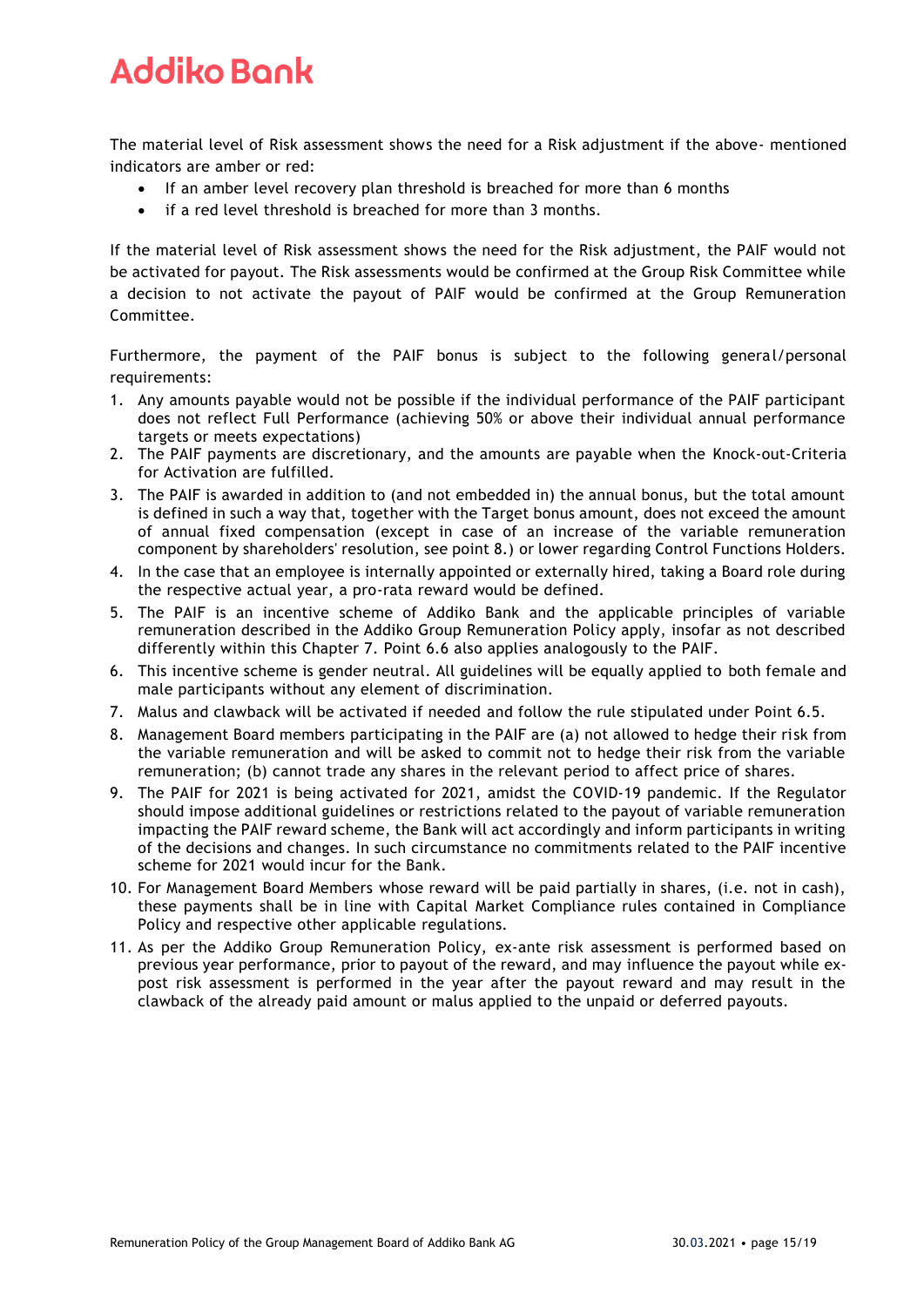The material level of Risk assessment shows the need for a Risk adjustment if the above- mentioned indicators are amber or red:

- If an amber level recovery plan threshold is breached for more than 6 months
- if a red level threshold is breached for more than 3 months.

If the material level of Risk assessment shows the need for the Risk adjustment, the PAIF would not be activated for payout. The Risk assessments would be confirmed at the Group Risk Committee while a decision to not activate the payout of PAIF would be confirmed at the Group Remuneration Committee.

Furthermore, the payment of the PAIF bonus is subject to the following general/personal requirements:

- 1. Any amounts payable would not be possible if the individual performance of the PAIF participant does not reflect Full Performance (achieving 50% or above their individual annual performance targets or meets expectations)
- 2. The PAIF payments are discretionary, and the amounts are payable when the Knock-out-Criteria for Activation are fulfilled.
- 3. The PAIF is awarded in addition to (and not embedded in) the annual bonus, but the total amount is defined in such a way that, together with the Target bonus amount, does not exceed the amount of annual fixed compensation (except in case of an increase of the variable remuneration component by shareholders' resolution, see point 8.) or lower regarding Control Functions Holders.
- 4. In the case that an employee is internally appointed or externally hired, taking a Board role during the respective actual year, a pro-rata reward would be defined.
- 5. The PAIF is an incentive scheme of Addiko Bank and the applicable principles of variable remuneration described in the Addiko Group Remuneration Policy apply, insofar as not described differently within this Chapter 7. Point 6.6 also applies analogously to the PAIF.
- 6. This incentive scheme is gender neutral. All guidelines will be equally applied to both female and male participants without any element of discrimination.
- 7. Malus and clawback will be activated if needed and follow the rule stipulated under Point 6.5.
- 8. Management Board members participating in the PAIF are (a) not allowed to hedge their risk from the variable remuneration and will be asked to commit not to hedge their risk from the variable remuneration; (b) cannot trade any shares in the relevant period to affect price of shares.
- 9. The PAIF for 2021 is being activated for 2021, amidst the COVID-19 pandemic. If the Regulator should impose additional guidelines or restrictions related to the payout of variable remuneration impacting the PAIF reward scheme, the Bank will act accordingly and inform participants in writing of the decisions and changes. In such circumstance no commitments related to the PAIF incentive scheme for 2021 would incur for the Bank.
- 10. For Management Board Members whose reward will be paid partially in shares, (i.e. not in cash), these payments shall be in line with Capital Market Compliance rules contained in Compliance Policy and respective other applicable regulations.
- 11. As per the Addiko Group Remuneration Policy, ex-ante risk assessment is performed based on previous year performance, prior to payout of the reward, and may influence the payout while expost risk assessment is performed in the year after the payout reward and may result in the clawback of the already paid amount or malus applied to the unpaid or deferred payouts.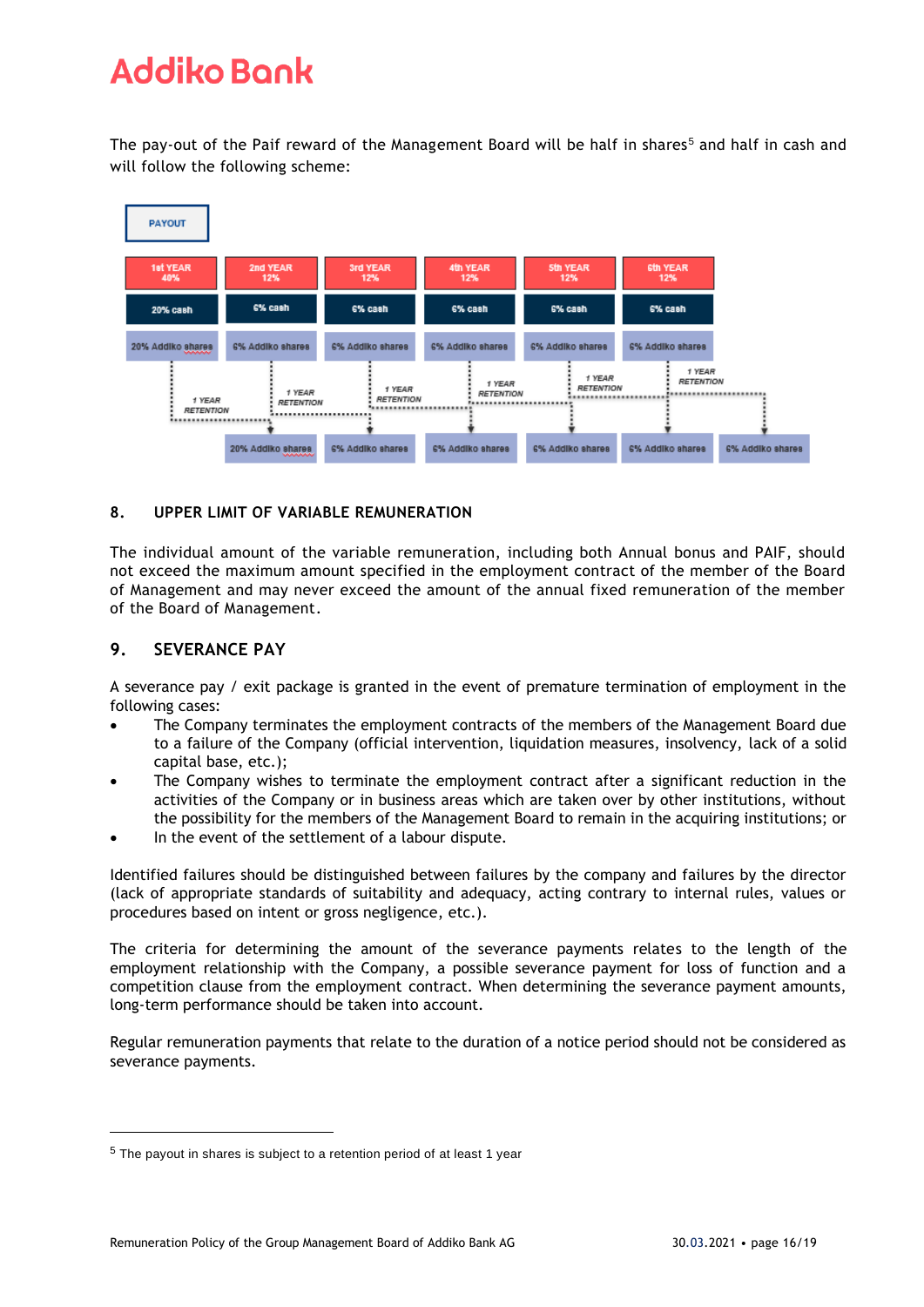The pay-out of the Paif reward of the Management Board will be half in shares<sup>5</sup> and half in cash and will follow the following scheme:



### **8. UPPER LIMIT OF VARIABLE REMUNERATION**

The individual amount of the variable remuneration, including both Annual bonus and PAIF, should not exceed the maximum amount specified in the employment contract of the member of the Board of Management and may never exceed the amount of the annual fixed remuneration of the member of the Board of Management.

### **9. SEVERANCE PAY**

A severance pay / exit package is granted in the event of premature termination of employment in the following cases:

- The Company terminates the employment contracts of the members of the Management Board due to a failure of the Company (official intervention, liquidation measures, insolvency, lack of a solid capital base, etc.);
- The Company wishes to terminate the employment contract after a significant reduction in the activities of the Company or in business areas which are taken over by other institutions, without the possibility for the members of the Management Board to remain in the acquiring institutions; or
- In the event of the settlement of a labour dispute.

Identified failures should be distinguished between failures by the company and failures by the director (lack of appropriate standards of suitability and adequacy, acting contrary to internal rules, values or procedures based on intent or gross negligence, etc.).

The criteria for determining the amount of the severance payments relates to the length of the employment relationship with the Company, a possible severance payment for loss of function and a competition clause from the employment contract. When determining the severance payment amounts, long-term performance should be taken into account.

Regular remuneration payments that relate to the duration of a notice period should not be considered as severance payments.

<sup>5</sup> The payout in shares is subject to a retention period of at least 1 year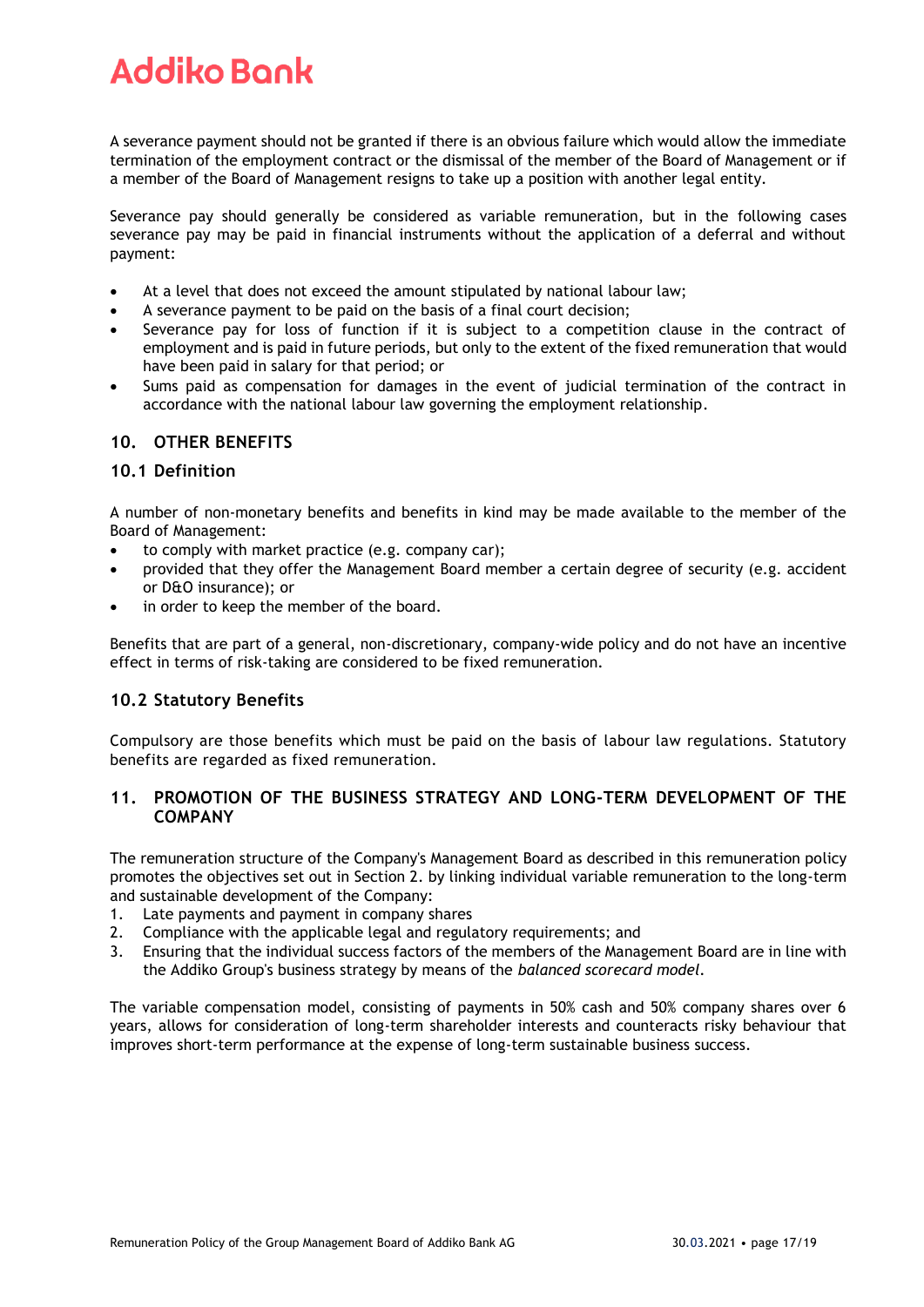A severance payment should not be granted if there is an obvious failure which would allow the immediate termination of the employment contract or the dismissal of the member of the Board of Management or if a member of the Board of Management resigns to take up a position with another legal entity.

Severance pay should generally be considered as variable remuneration, but in the following cases severance pay may be paid in financial instruments without the application of a deferral and without payment:

- At a level that does not exceed the amount stipulated by national labour law;
- A severance payment to be paid on the basis of a final court decision;
- Severance pay for loss of function if it is subject to a competition clause in the contract of employment and is paid in future periods, but only to the extent of the fixed remuneration that would have been paid in salary for that period; or
- Sums paid as compensation for damages in the event of judicial termination of the contract in accordance with the national labour law governing the employment relationship.

### **10. OTHER BENEFITS**

### **10.1 Definition**

A number of non-monetary benefits and benefits in kind may be made available to the member of the Board of Management:

- to comply with market practice (e.g. company car);
- provided that they offer the Management Board member a certain degree of security (e.g. accident or D&O insurance); or
- in order to keep the member of the board.

Benefits that are part of a general, non-discretionary, company-wide policy and do not have an incentive effect in terms of risk-taking are considered to be fixed remuneration.

### **10.2 Statutory Benefits**

Compulsory are those benefits which must be paid on the basis of labour law regulations. Statutory benefits are regarded as fixed remuneration.

### **11. PROMOTION OF THE BUSINESS STRATEGY AND LONG-TERM DEVELOPMENT OF THE COMPANY**

The remuneration structure of the Company's Management Board as described in this remuneration policy promotes the objectives set out in Section 2. by linking individual variable remuneration to the long-term and sustainable development of the Company:

- 1. Late payments and payment in company shares
- 2. Compliance with the applicable legal and regulatory requirements; and
- 3. Ensuring that the individual success factors of the members of the Management Board are in line with the Addiko Group's business strategy by means of the *balanced scorecard model.*

The variable compensation model, consisting of payments in 50% cash and 50% company shares over 6 years, allows for consideration of long-term shareholder interests and counteracts risky behaviour that improves short-term performance at the expense of long-term sustainable business success.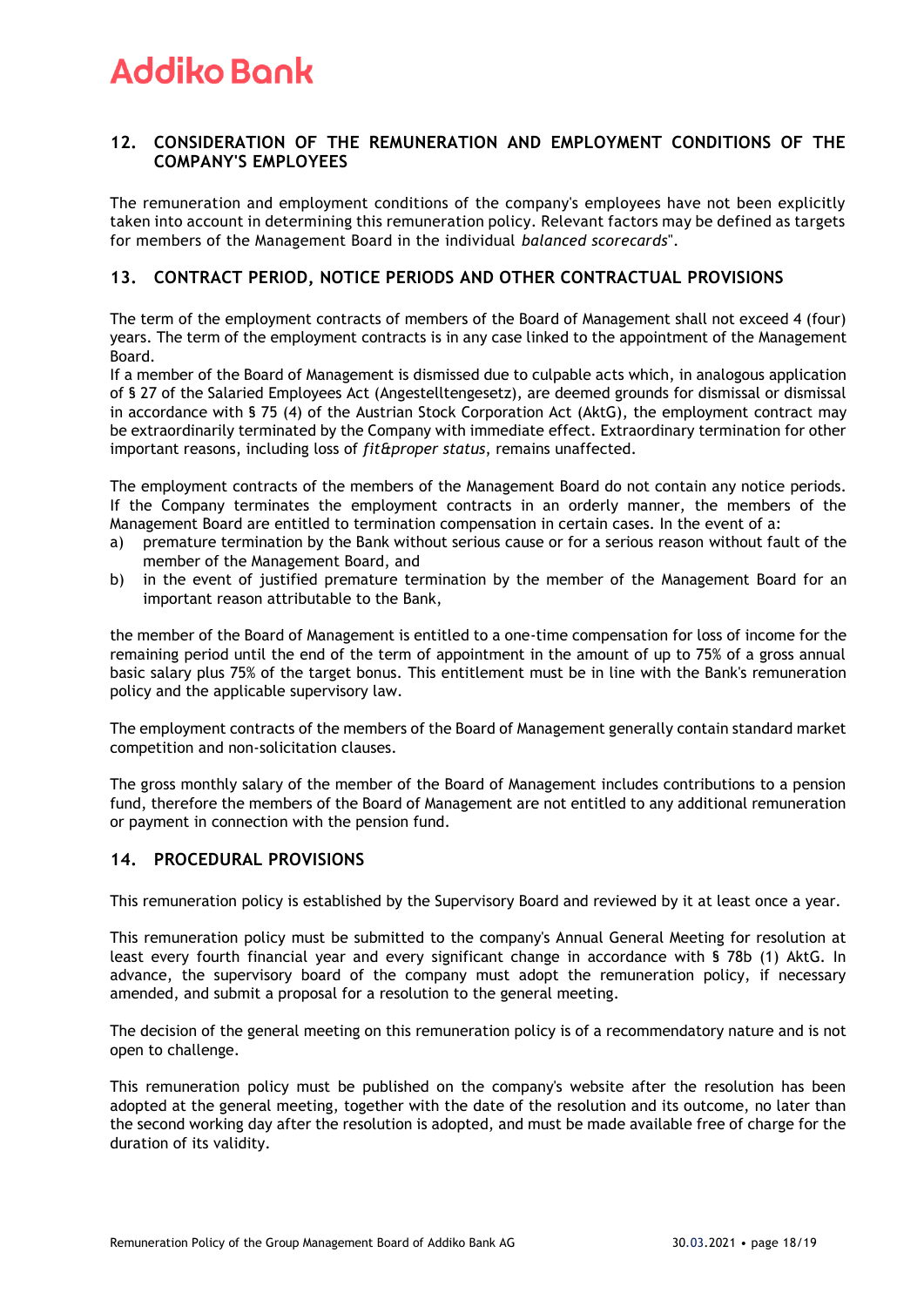### **12. CONSIDERATION OF THE REMUNERATION AND EMPLOYMENT CONDITIONS OF THE COMPANY'S EMPLOYEES**

The remuneration and employment conditions of the company's employees have not been explicitly taken into account in determining this remuneration policy. Relevant factors may be defined as targets for members of the Management Board in the individual *balanced scorecards*".

### **13. CONTRACT PERIOD, NOTICE PERIODS AND OTHER CONTRACTUAL PROVISIONS**

The term of the employment contracts of members of the Board of Management shall not exceed 4 (four) years. The term of the employment contracts is in any case linked to the appointment of the Management Board.

If a member of the Board of Management is dismissed due to culpable acts which, in analogous application of § 27 of the Salaried Employees Act (Angestelltengesetz), are deemed grounds for dismissal or dismissal in accordance with § 75 (4) of the Austrian Stock Corporation Act (AktG), the employment contract may be extraordinarily terminated by the Company with immediate effect. Extraordinary termination for other important reasons, including loss of *fit&proper status*, remains unaffected.

The employment contracts of the members of the Management Board do not contain any notice periods. If the Company terminates the employment contracts in an orderly manner, the members of the Management Board are entitled to termination compensation in certain cases. In the event of a:

- a) premature termination by the Bank without serious cause or for a serious reason without fault of the member of the Management Board, and
- b) in the event of justified premature termination by the member of the Management Board for an important reason attributable to the Bank,

the member of the Board of Management is entitled to a one-time compensation for loss of income for the remaining period until the end of the term of appointment in the amount of up to 75% of a gross annual basic salary plus 75% of the target bonus. This entitlement must be in line with the Bank's remuneration policy and the applicable supervisory law.

The employment contracts of the members of the Board of Management generally contain standard market competition and non-solicitation clauses.

The gross monthly salary of the member of the Board of Management includes contributions to a pension fund, therefore the members of the Board of Management are not entitled to any additional remuneration or payment in connection with the pension fund.

### **14. PROCEDURAL PROVISIONS**

This remuneration policy is established by the Supervisory Board and reviewed by it at least once a year.

This remuneration policy must be submitted to the company's Annual General Meeting for resolution at least every fourth financial year and every significant change in accordance with § 78b (1) AktG. In advance, the supervisory board of the company must adopt the remuneration policy, if necessary amended, and submit a proposal for a resolution to the general meeting.

The decision of the general meeting on this remuneration policy is of a recommendatory nature and is not open to challenge.

This remuneration policy must be published on the company's website after the resolution has been adopted at the general meeting, together with the date of the resolution and its outcome, no later than the second working day after the resolution is adopted, and must be made available free of charge for the duration of its validity.